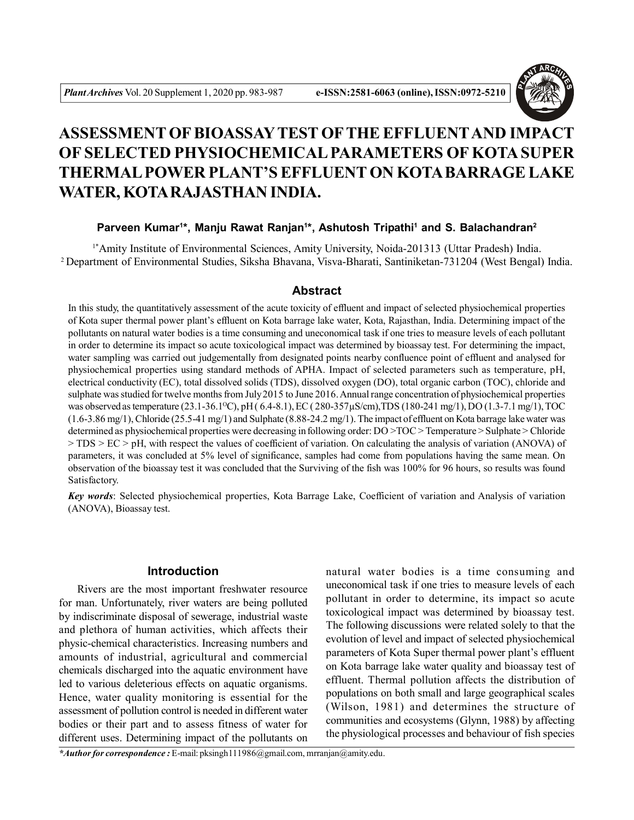

# **ASSESSMENT OF BIOASSAYTEST OFTHE EFFLUENTAND IMPACT OF SELECTED PHYSIOCHEMICAL PARAMETERS OF KOTA SUPER THERMAL POWER PLANT'S EFFLUENT ON KOTA BARRAGE LAKE WATER, KOTA RAJASTHAN INDIA.**

# **Parveen Kumar<sup>1</sup> \*, Manju Rawat Ranjan<sup>1</sup> \*, Ashutosh Tripathi<sup>1</sup> and S. Balachandran<sup>2</sup>**

1\*Amity Institute of Environmental Sciences, Amity University, Noida-201313 (Uttar Pradesh) India. <sup>2</sup>Department of Environmental Studies, Siksha Bhavana, Visva-Bharati, Santiniketan-731204 (West Bengal) India.

# **Abstract**

In this study, the quantitatively assessment of the acute toxicity of effluent and impact of selected physiochemical properties of Kota super thermal power plant's effluent on Kota barrage lake water, Kota, Rajasthan, India. Determining impact of the pollutants on natural water bodies is a time consuming and uneconomical task if one tries to measure levels of each pollutant in order to determine its impact so acute toxicological impact was determined by bioassay test. For determining the impact, water sampling was carried out judgementally from designated points nearby confluence point of effluent and analysed for physiochemical properties using standard methods of APHA. Impact of selected parameters such as temperature, pH, electrical conductivity (EC), total dissolved solids (TDS), dissolved oxygen (DO), total organic carbon (TOC), chloride and sulphate was studied for twelve months from July 2015 to June 2016. Annual range concentration of physiochemical properties was observed as temperature (23.1-36.1<sup>o</sup>C), pH (6.4-8.1), EC (280-357\pps(m),TDS (180-241 mg/1), DO (1.3-7.1 mg/1), TOC  $(1.6-3.86 \text{ mg}/1)$ , Chloride  $(25.5-41 \text{ mg}/1)$  and Sulphate  $(8.88-24.2 \text{ mg}/1)$ . The impact of effluent on Kota barrage lake water was determined as physiochemical properties were decreasing in following order: DO >TOC > Temperature > Sulphate > Chloride > TDS > EC > pH, with respect the values of coefficient of variation. On calculating the analysis of variation (ANOVA) of parameters, it was concluded at 5% level of significance, samples had come from populations having the same mean. On observation of the bioassay test it was concluded that the Surviving of the fish was 100% for 96 hours, so results was found Satisfactory.

*Key words*: Selected physiochemical properties, Kota Barrage Lake, Coefficient of variation and Analysis of variation (ANOVA), Bioassay test.

## **Introduction**

Rivers are the most important freshwater resource for man. Unfortunately, river waters are being polluted by indiscriminate disposal of sewerage, industrial waste and plethora of human activities, which affects their physic-chemical characteristics. Increasing numbers and amounts of industrial, agricultural and commercial chemicals discharged into the aquatic environment have led to various deleterious effects on aquatic organisms. Hence, water quality monitoring is essential for the assessment of pollution control is needed in different water bodies or their part and to assess fitness of water for different uses. Determining impact of the pollutants on

natural water bodies is a time consuming and uneconomical task if one tries to measure levels of each pollutant in order to determine, its impact so acute toxicological impact was determined by bioassay test. The following discussions were related solely to that the evolution of level and impact of selected physiochemical parameters of Kota Super thermal power plant's effluent on Kota barrage lake water quality and bioassay test of effluent. Thermal pollution affects the distribution of populations on both small and large geographical scales (Wilson, 1981) and determines the structure of communities and ecosystems (Glynn, 1988) by affecting the physiological processes and behaviour of fish species

*\*Author for correspondence :* E-mail: pksingh111986@gmail.com, mrranjan@amity.edu.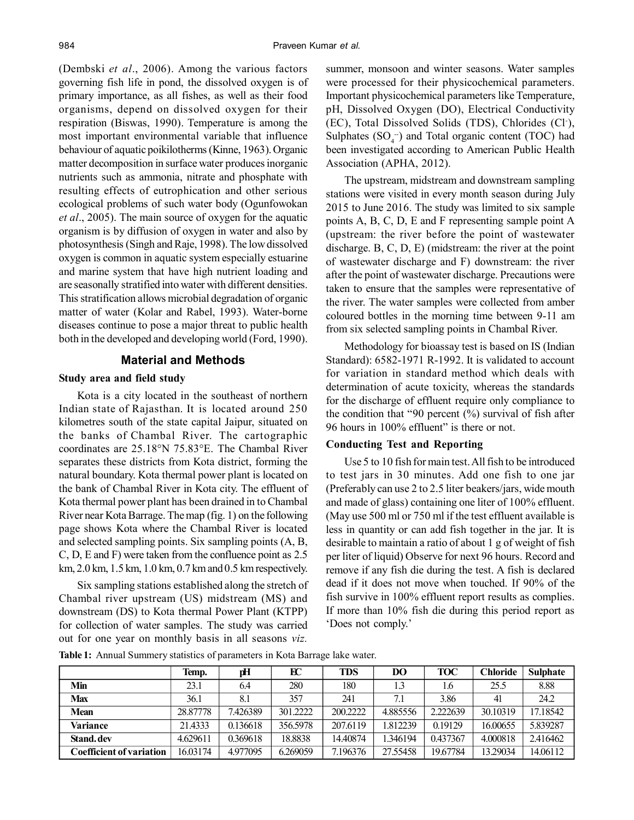(Dembski *et al*., 2006). Among the various factors governing fish life in pond, the dissolved oxygen is of primary importance, as all fishes, as well as their food organisms, depend on dissolved oxygen for their respiration (Biswas, 1990). Temperature is among the most important environmental variable that influence behaviour of aquatic poikilotherms (Kinne, 1963). Organic matter decomposition in surface water produces inorganic nutrients such as ammonia, nitrate and phosphate with resulting effects of eutrophication and other serious ecological problems of such water body (Ogunfowokan *et al*., 2005). The main source of oxygen for the aquatic organism is by diffusion of oxygen in water and also by photosynthesis (Singh and Raje, 1998). The low dissolved oxygen is common in aquatic system especially estuarine and marine system that have high nutrient loading and are seasonally stratified into water with different densities. This stratification allows microbial degradation of organic matter of water (Kolar and Rabel, 1993). Water-borne diseases continue to pose a major threat to public health both in the developed and developing world (Ford, 1990).

# **Material and Methods**

### **Study area and field study**

Kota is a city located in the southeast of northern Indian state of Rajasthan. It is located around 250 kilometres south of the state capital Jaipur, situated on the banks of Chambal River. The cartographic coordinates are 25.18°N 75.83°E. The Chambal River separates these districts from Kota district, forming the natural boundary. Kota thermal power plant is located on the bank of Chambal River in Kota city. The effluent of Kota thermal power plant has been drained in to Chambal River near Kota Barrage. The map (fig. 1) on the following page shows Kota where the Chambal River is located and selected sampling points. Six sampling points (A, B, C, D, E and F) were taken from the confluence point as 2.5 km, 2.0 km, 1.5 km, 1.0 km, 0.7 km and 0.5 km respectively.

Six sampling stations established along the stretch of Chambal river upstream (US) midstream (MS) and downstream (DS) to Kota thermal Power Plant (KTPP) for collection of water samples. The study was carried out for one year on monthly basis in all seasons *viz.*

summer, monsoon and winter seasons. Water samples were processed for their physicochemical parameters. Important physicochemical parameters like Temperature, pH, Dissolved Oxygen (DO), Electrical Conductivity (EC), Total Dissolved Solids (TDS), Chlorides (Cl- ), Sulphates  $(SO<sub>4</sub><sup>-</sup>)$  and Total organic content (TOC) had been investigated according to American Public Health Association (APHA, 2012).

The upstream, midstream and downstream sampling stations were visited in every month season during July 2015 to June 2016. The study was limited to six sample points A, B, C, D, E and F representing sample point A (upstream: the river before the point of wastewater discharge. B, C, D, E) (midstream: the river at the point of wastewater discharge and F) downstream: the river after the point of wastewater discharge. Precautions were taken to ensure that the samples were representative of the river. The water samples were collected from amber coloured bottles in the morning time between 9-11 am from six selected sampling points in Chambal River.

Methodology for bioassay test is based on IS (Indian Standard): 6582-1971 R-1992. It is validated to account for variation in standard method which deals with determination of acute toxicity, whereas the standards for the discharge of effluent require only compliance to the condition that "90 percent  $(\%)$  survival of fish after 96 hours in 100% effluent" is there or not.

## **Conducting Test and Reporting**

Use 5 to 10 fish for main test. All fish to be introduced to test jars in 30 minutes. Add one fish to one jar (Preferably can use 2 to 2.5 liter beakers/jars, wide mouth and made of glass) containing one liter of 100% effluent. (May use 500 ml or 750 ml if the test effluent available is less in quantity or can add fish together in the jar. It is desirable to maintain a ratio of about 1 g of weight of fish per liter of liquid) Observe for next 96 hours. Record and remove if any fish die during the test. A fish is declared dead if it does not move when touched. If 90% of the fish survive in 100% effluent report results as complies. If more than 10% fish die during this period report as 'Does not comply.'

|                                 | Temp.    | рH       | EC       | <b>TDS</b> | DO       | <b>TOC</b> | <b>Chloride</b> | <b>Sulphate</b> |
|---------------------------------|----------|----------|----------|------------|----------|------------|-----------------|-----------------|
| Min                             | 23.1     | 6.4      | 280      | 180        |          | 1.6        | 25.5            | 8.88            |
| <b>Max</b>                      | 36.1     | 8.1      | 357      | 241        | 7.1      | 3.86       | 41              | 24.2            |
| <b>Mean</b>                     | 28.87778 | 7.426389 | 301.2222 | 200.2222   | 4.885556 | 2.222639   | 30.10319        | 17.18542        |
| Variance                        | 21.4333  | 0.136618 | 356.5978 | 207.6119   | 1.812239 | 0.19129    | 16.00655        | 5.839287        |
| Stand.dev                       | 4.629611 | 0.369618 | 18.8838  | 14.40874   | 1.346194 | 0.437367   | 4.000818        | 2.416462        |
| <b>Coefficient of variation</b> | 16.03174 | 4.977095 | 6.269059 | 7.196376   | 27.55458 | 19.67784   | 13.29034        | 14.06112        |

**Table 1:** Annual Summery statistics of parameters in Kota Barrage lake water.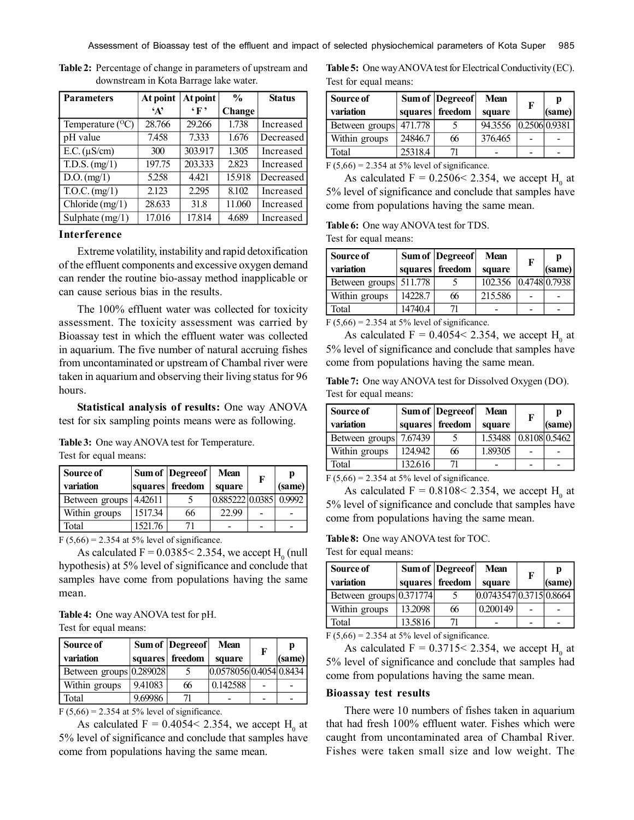| <b>Parameters</b>                         | At point     | $\frac{0}{0}$<br>At point |        | <b>Status</b> |
|-------------------------------------------|--------------|---------------------------|--------|---------------|
|                                           | $\mathbf{A}$ | $\mathbf{F}$              | Change |               |
| Temperature $(^{0}C)$                     | 28.766       | 29.266                    | 1.738  | Increased     |
| pH value                                  | 7.458        | 7.333                     | 1.676  | Decreased     |
| $E.C. (\mu S/cm)$                         | 300          | 303.917                   | 1.305  | Increased     |
| $\overline{T.D.S.}$ (mg/1)                | 197.75       | 203.333                   | 2.823  | Increased     |
| $D.O.$ (mg/1)                             | 5.258        | 4.421                     | 15.918 | Decreased     |
| $\overline{\text{T.O.C. (mg/1)}}$         | 2.123        | 2.295                     | 8.102  | Increased     |
| $\overline{\text{Chloride}}(\text{mg}/1)$ | 28.633       | 31.8                      | 11.060 | Increased     |
| Sulphate $(mg/1)$                         | 17.016       | 17.814                    | 4.689  | Increased     |

**Table 2:** Percentage of change in parameters of upstream and downstream in Kota Barrage lake water.

#### **Interference**

Extreme volatility, instability and rapid detoxification of the effluent components and excessive oxygen demand can render the routine bio-assay method inapplicable or can cause serious bias in the results.

The 100% effluent water was collected for toxicity assessment. The toxicity assessment was carried by Bioassay test in which the effluent water was collected in aquarium. The five number of natural accruing fishes from uncontaminated or upstream of Chambal river were taken in aquarium and observing their living status for 96 hours.

**Statistical analysis of results:** One way ANOVA test for six sampling points means were as following.

**Table 3:** One way ANOVA test for Temperature. Test for equal means:

| Source of      |         | Sum of  Degreeof | <b>Mean</b>            | F | p      |
|----------------|---------|------------------|------------------------|---|--------|
| variation      |         | squares freedom  | square                 |   | (same) |
| Between groups | 4.42611 |                  | 0.885222 0.0385 0.9992 |   |        |
| Within groups  | 1517.34 | 66               | 22.99                  |   |        |
| Total          | 1521.76 |                  |                        |   |        |

 $F(5,66) = 2.354$  at 5% level of significance.

As calculated  $F = 0.0385 < 2.354$ , we accept  $H_0$  (null hypothesis) at 5% level of significance and conclude that samples have come from populations having the same mean.

**Table 4:** One way ANOVA test for pH. Test for equal means:

| Source of               |         | Sum of Degreeof | <b>Mean</b>             | F | n      |
|-------------------------|---------|-----------------|-------------------------|---|--------|
| variation               |         | squares freedom | square                  |   | (same) |
| Between groups 0.289028 |         |                 | 0.0578056 0.4054 0.8434 |   |        |
| Within groups           | 9.41083 | 66              | 0.142588                |   |        |
| Total                   | 9.69986 |                 |                         |   |        |

 $F(5,66) = 2.354$  at 5% level of significance.

As calculated  $F = 0.4054 < 2.354$ , we accept H<sub>0</sub> at 5% level of significance and conclude that samples have come from populations having the same mean.

**Table 5:** One way ANOVA test for Electrical Conductivity (EC). Test for equal means:

| Source of              |         | Sum of  Degreeof | <b>Mean</b>           | F | p      |
|------------------------|---------|------------------|-----------------------|---|--------|
| variation              |         | squares freedom  | square                |   | (same) |
| Between groups 471.778 |         |                  | 94.3556 0.2506 0.9381 |   |        |
| Within groups          | 24846.7 | 66               | 376.465               |   |        |
| Total                  | 25318.4 |                  |                       |   |        |

 $F(5,66) = 2.354$  at 5% level of significance.

As calculated  $F = 0.2506 \le 2.354$ , we accept  $H_0$  at 5% level of significance and conclude that samples have come from populations having the same mean.

**Table 6:** One way ANOVA test for TDS.

Test for equal means:

| Source of              |         | Sum of  Degreeof | <b>Mean</b>           | F | р      |
|------------------------|---------|------------------|-----------------------|---|--------|
| variation              |         | squares freedom  | square                |   | (same) |
| Between groups 511.778 |         |                  | 102.356 0.4748 0.7938 |   |        |
| Within groups          | 14228.7 | 66               | 215.586               |   |        |
| Total                  | 14740.4 |                  |                       |   |        |

 $F(5,66) = 2.354$  at 5% level of significance.

As calculated  $F = 0.4054 < 2.354$ , we accept H<sub>0</sub> at 5% level of significance and conclude that samples have come from populations having the same mean.

**Table 7:** One way ANOVA test for Dissolved Oxygen (DO). Test for equal means:

| Source of              |         | Sum of  Degreeof | <b>Mean</b> | F             | p      |
|------------------------|---------|------------------|-------------|---------------|--------|
| variation              |         | squares freedom  | square      |               | (same) |
| Between groups 7.67439 |         |                  | 1.53488     | 0.8108 0.5462 |        |
| Within groups          | 124.942 | 66               | 1.89305     |               |        |
| Total                  | 132.616 |                  |             |               |        |

 $F(5,66) = 2.354$  at 5% level of significance.

As calculated  $F = 0.8108 \le 2.354$ , we accept H<sub>0</sub> at 5% level of significance and conclude that samples have come from populations having the same mean.

**Table 8:** One way ANOVA test for TOC.

Test for equal means:

| Source of               |         | Sum of  Degreeof | <b>Mean</b>           | F | p      |
|-------------------------|---------|------------------|-----------------------|---|--------|
| variation               |         | squares freedom  | square                |   | (same) |
| Between groups 0.371774 |         |                  | 0.07435470.37150.8664 |   |        |
| Within groups           | 13.2098 | 66               | 0.200149              |   |        |
| Total                   | 13.5816 |                  |                       |   |        |

 $F(5,66) = 2.354$  at 5% level of significance.

As calculated  $F = 0.3715 \le 2.354$ , we accept  $H_0$  at 5% level of significance and conclude that samples had come from populations having the same mean.

#### **Bioassay test results**

There were 10 numbers of fishes taken in aquarium that had fresh 100% effluent water. Fishes which were caught from uncontaminated area of Chambal River. Fishes were taken small size and low weight. The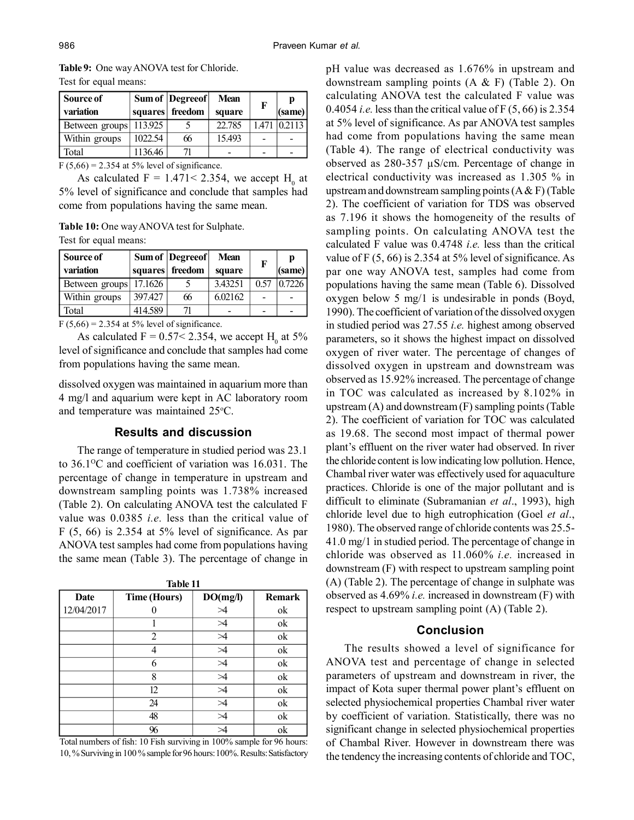|                       | <b>Table 9:</b> One way ANOVA test for Chloride. |  |
|-----------------------|--------------------------------------------------|--|
| Test for equal means: |                                                  |  |

| Source of              |         | Sum of  Degreeof | <b>Mean</b> | F     | p      |
|------------------------|---------|------------------|-------------|-------|--------|
| variation              |         | squares freedom  | square      |       | (same) |
| Between groups 113.925 |         |                  | 22.785      | 1.471 | 0.2113 |
| Within groups          | 1022.54 | 66               | 15.493      |       |        |
| Total                  | 1136.46 |                  |             |       |        |

 $F(5,66) = 2.354$  at 5% level of significance.

As calculated  $F = 1.471 < 2.354$ , we accept H<sub>0</sub> at 5% level of significance and conclude that samples had come from populations having the same mean.

**Table 10:** One way ANOVA test for Sulphate.

Test for equal means:

| Source of<br>variation |         | Sum of  Degreeof <br>squares freedom | <b>Mean</b><br>square | F    | n<br>(same) |
|------------------------|---------|--------------------------------------|-----------------------|------|-------------|
| Between groups         | 17.1626 |                                      | 3.43251               | 0.57 | 0.7226      |
| Within groups          | 397427  | 66                                   | 6.02162               |      |             |
| Total                  | 414.589 |                                      |                       |      |             |

 $F(5,66) = 2.354$  at 5% level of significance.

As calculated  $F = 0.57 < 2.354$ , we accept H<sub>0</sub> at 5% level of significance and conclude that samples had come from populations having the same mean.

dissolved oxygen was maintained in aquarium more than 4 mg/l and aquarium were kept in AC laboratory room and temperature was maintained 25 °C.

# **Results and discussion**

The range of temperature in studied period was 23.1 to  $36.1\degree$ C and coefficient of variation was 16.031. The percentage of change in temperature in upstream and downstream sampling points was 1.738% increased (Table 2). On calculating ANOVA test the calculated F value was 0.0385 *i.e.* less than the critical value of  $F(5, 66)$  is 2.354 at 5% level of significance. As par ANOVA test samples had come from populations having the same mean (Table 3). The percentage of change in

| .,<br>. .<br>۰.<br>۰.<br>۰.<br>٠ |  |
|----------------------------------|--|
|----------------------------------|--|

| Date       | <b>Time (Hours)</b> | DO(mg/l)  | <b>Remark</b> |
|------------|---------------------|-----------|---------------|
| 12/04/2017 |                     | $\geq$    | ok            |
|            |                     | >4        | ok            |
|            | $\overline{2}$      |           | ok            |
|            |                     | ⋊         | ok            |
|            | 6                   | ⋊         | ok            |
|            | 8                   | >4        | ok            |
|            | 12                  | >4        | ok            |
|            | 24                  | ⋊         | ok            |
|            | 48                  | $\bowtie$ | ok            |
|            | 96                  |           | ok            |

Total numbers of fish: 10 Fish surviving in 100% sample for 96 hours: 10, % Surviving in 100 % sample for 96 hours: 100%. Results: Satisfactory pH value was decreased as 1.676% in upstream and downstream sampling points (A & F) (Table 2). On calculating ANOVA test the calculated F value was 0.4054 *i.e.* less than the critical value of F (5, 66) is 2.354 at 5% level of significance. As par ANOVA test samples had come from populations having the same mean (Table 4). The range of electrical conductivity was observed as 280-357 µS/cm. Percentage of change in electrical conductivity was increased as 1.305 % in upstream and downstream sampling points  $(A & F)$  (Table 2). The coefficient of variation for TDS was observed as 7.196 it shows the homogeneity of the results of sampling points. On calculating ANOVA test the calculated F value was 0.4748 *i.e.* less than the critical value of F (5, 66) is 2.354 at 5% level of significance. As par one way ANOVA test, samples had come from populations having the same mean (Table 6). Dissolved oxygen below 5 mg/1 is undesirable in ponds (Boyd, 1990). The coefficient of variation of the dissolved oxygen in studied period was 27.55 *i.e.* highest among observed parameters, so it shows the highest impact on dissolved oxygen of river water. The percentage of changes of dissolved oxygen in upstream and downstream was observed as 15.92% increased. The percentage of change in TOC was calculated as increased by 8.102% in upstream (A) and downstream (F) sampling points (Table 2). The coefficient of variation for TOC was calculated as 19.68. The second most impact of thermal power plant's effluent on the river water had observed. In river the chloride content is low indicating low pollution. Hence, Chambal river water was effectively used for aquaculture practices. Chloride is one of the major pollutant and is difficult to eliminate (Subramanian *et al*., 1993), high chloride level due to high eutrophication (Goel *et al*., 1980). The observed range of chloride contents was 25.5- 41.0 mg/1 in studied period. The percentage of change in chloride was observed as 11.060% *i.e.* increased in downstream (F) with respect to upstream sampling point (A) (Table 2). The percentage of change in sulphate was observed as 4.69% *i.e.* increased in downstream (F) with respect to upstream sampling point (A) (Table 2).

## **Conclusion**

The results showed a level of significance for ANOVA test and percentage of change in selected parameters of upstream and downstream in river, the impact of Kota super thermal power plant's effluent on selected physiochemical properties Chambal river water by coefficient of variation. Statistically, there was no significant change in selected physiochemical properties of Chambal River. However in downstream there was the tendency the increasing contents of chloride and TOC,